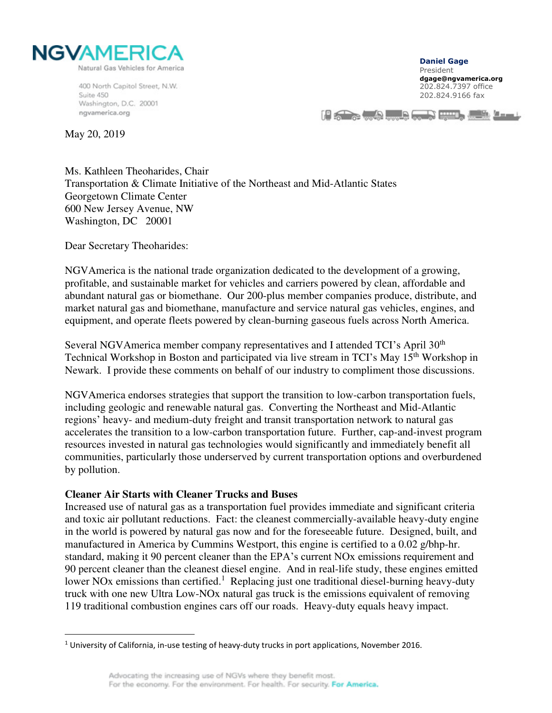

400 North Capitol Street, N.W. Suite 450 Washington, D.C. 20001 ngvamerica.org

**Daniel Gage**  President **dgage@ngvamerica.org**  202.824.7397 office 202.824.9166 fax

HE STATES TO BE A REAL PROPERTY AND INTERNATIONAL

May 20, 2019

Ms. Kathleen Theoharides, Chair Transportation & Climate Initiative of the Northeast and Mid-Atlantic States Georgetown Climate Center 600 New Jersey Avenue, NW Washington, DC 20001

Dear Secretary Theoharides:

NGVAmerica is the national trade organization dedicated to the development of a growing, profitable, and sustainable market for vehicles and carriers powered by clean, affordable and abundant natural gas or biomethane. Our 200-plus member companies produce, distribute, and market natural gas and biomethane, manufacture and service natural gas vehicles, engines, and equipment, and operate fleets powered by clean-burning gaseous fuels across North America.

Several NGVAmerica member company representatives and I attended TCI's April 30<sup>th</sup> Technical Workshop in Boston and participated via live stream in TCI's May 15<sup>th</sup> Workshop in Newark. I provide these comments on behalf of our industry to compliment those discussions.

NGVAmerica endorses strategies that support the transition to low-carbon transportation fuels, including geologic and renewable natural gas. Converting the Northeast and Mid-Atlantic regions' heavy- and medium-duty freight and transit transportation network to natural gas accelerates the transition to a low-carbon transportation future. Further, cap-and-invest program resources invested in natural gas technologies would significantly and immediately benefit all communities, particularly those underserved by current transportation options and overburdened by pollution.

## **Cleaner Air Starts with Cleaner Trucks and Buses**

Increased use of natural gas as a transportation fuel provides immediate and significant criteria and toxic air pollutant reductions. Fact: the cleanest commercially-available heavy-duty engine in the world is powered by natural gas now and for the foreseeable future. Designed, built, and manufactured in America by Cummins Westport, this engine is certified to a 0.02 g/bhp-hr. standard, making it 90 percent cleaner than the EPA's current NOx emissions requirement and 90 percent cleaner than the cleanest diesel engine. And in real-life study, these engines emitted lower NOx emissions than certified.<sup>1</sup> Replacing just one traditional diesel-burning heavy-duty truck with one new Ultra Low-NOx natural gas truck is the emissions equivalent of removing 119 traditional combustion engines cars off our roads. Heavy-duty equals heavy impact.

 $1$  University of California, in-use testing of heavy-duty trucks in port applications, November 2016.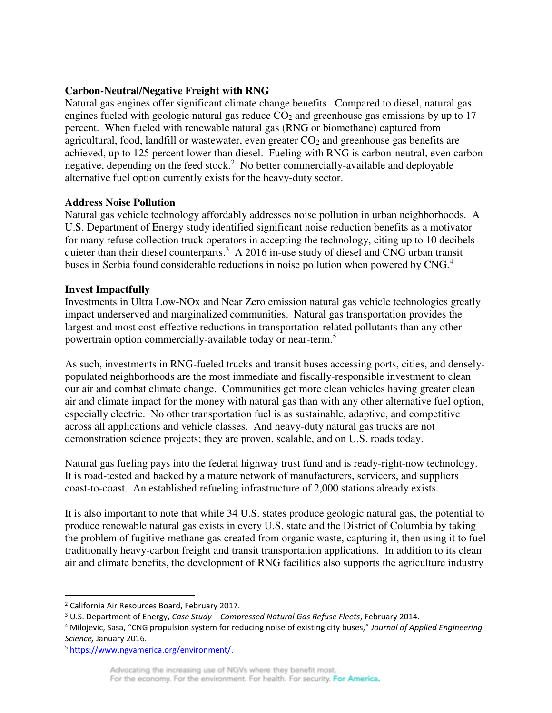## **Carbon-Neutral/Negative Freight with RNG**

Natural gas engines offer significant climate change benefits. Compared to diesel, natural gas engines fueled with geologic natural gas reduce  $CO<sub>2</sub>$  and greenhouse gas emissions by up to 17 percent. When fueled with renewable natural gas (RNG or biomethane) captured from agricultural, food, landfill or wastewater, even greater  $CO<sub>2</sub>$  and greenhouse gas benefits are achieved, up to 125 percent lower than diesel. Fueling with RNG is carbon-neutral, even carbonnegative, depending on the feed stock.<sup>2</sup> No better commercially-available and deployable alternative fuel option currently exists for the heavy-duty sector.

## **Address Noise Pollution**

Natural gas vehicle technology affordably addresses noise pollution in urban neighborhoods. A U.S. Department of Energy study identified significant noise reduction benefits as a motivator for many refuse collection truck operators in accepting the technology, citing up to 10 decibels quieter than their diesel counterparts.<sup>3</sup> A 2016 in-use study of diesel and CNG urban transit buses in Serbia found considerable reductions in noise pollution when powered by CNG.<sup>4</sup>

## **Invest Impactfully**

Investments in Ultra Low-NOx and Near Zero emission natural gas vehicle technologies greatly impact underserved and marginalized communities. Natural gas transportation provides the largest and most cost-effective reductions in transportation-related pollutants than any other powertrain option commercially-available today or near-term.<sup>5</sup>

As such, investments in RNG-fueled trucks and transit buses accessing ports, cities, and denselypopulated neighborhoods are the most immediate and fiscally-responsible investment to clean our air and combat climate change. Communities get more clean vehicles having greater clean air and climate impact for the money with natural gas than with any other alternative fuel option, especially electric. No other transportation fuel is as sustainable, adaptive, and competitive across all applications and vehicle classes. And heavy-duty natural gas trucks are not demonstration science projects; they are proven, scalable, and on U.S. roads today.

Natural gas fueling pays into the federal highway trust fund and is ready-right-now technology. It is road-tested and backed by a mature network of manufacturers, servicers, and suppliers coast-to-coast. An established refueling infrastructure of 2,000 stations already exists.

It is also important to note that while 34 U.S. states produce geologic natural gas, the potential to produce renewable natural gas exists in every U.S. state and the District of Columbia by taking the problem of fugitive methane gas created from organic waste, capturing it, then using it to fuel traditionally heavy-carbon freight and transit transportation applications. In addition to its clean air and climate benefits, the development of RNG facilities also supports the agriculture industry

<sup>&</sup>lt;sup>2</sup> California Air Resources Board, February 2017.

<sup>3</sup> U.S. Department of Energy, *Case Study – Compressed Natural Gas Refuse Fleets*, February 2014.

<sup>4</sup> Milojevic, Sasa, "CNG propulsion system for reducing noise of existing city buses," *Journal of Applied Engineering Science,* January 2016.

<sup>5</sup> [https://www.ngvamerica.org/environment/.](https://www.ngvamerica.org/environment/)